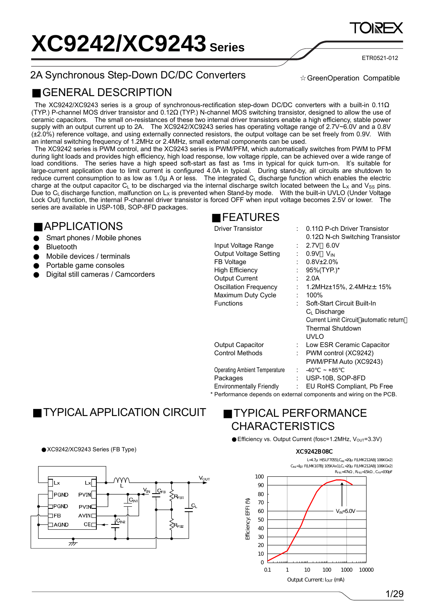ETR0521-012

## 2A Synchronous Step-Down DC/DC Converters

GreenOperation Compatible

## GENERAL DESCRIPTION

 The XC9242/XC9243 series is a group of synchronous-rectification step-down DC/DC converters with a built-in 0.11 (TYP.) P-channel MOS driver transistor and 0.12 (TYP.) N-channel MOS switching transistor, designed to allow the use of ceramic capacitors. The small on-resistances of these two internal driver transistors enable a high efficiency, stable power supply with an output current up to 2A. The XC9242/XC9243 series has operating voltage range of 2.7V~6.0V and a 0.8V (±2.0%) reference voltage, and using externally connected resistors, the output voltage can be set freely from 0.9V. With an internal switching frequency of 1.2MHz or 2.4MHz, small external components can be used.

 The XC9242 series is PWM control, and the XC9243 series is PWM/PFM, which automatically switches from PWM to PFM during light loads and provides high efficiency, high load response, low voltage ripple, can be achieved over a wide range of load conditions. The series have a high speed soft-start as fast as 1ms in typical for quick turn-on. It's suitable for large-current application due to limit current is configured 4.0A in typical. During stand-by, all circuits are shutdown to reduce current consumption to as low as 1.0μ A or less. The integrated C<sub>L</sub> discharge function which enables the electric charge at the output capacitor  $C_L$  to be discharged via the internal discharge switch located between the  $L_X$  and  $V_{SS}$  pins. Due to C<sub>L</sub> discharge function, malfunction on L<sub>X</sub> is prevented when Stand-by mode. With the built-in UVLO (Under Voltage Lock Out) function, the internal P-channel driver transistor is forced OFF when input voltage becomes 2.5V or lower. The series are available in USP-10B, SOP-8FD packages.

## APPLICATIONS

Smart phones / Mobile phones Bluetooth Mobile devices / terminals Portable game consoles Digital still cameras / Camcorders

# FEATURES

Driver Transistor : 0.11Ω P-ch Driver Transistor

| Input Voltage Range<br><b>Output Voltage Setting</b><br>FB Voltage<br><b>High Efficiency</b><br><b>Output Current</b><br><b>Oscillation Frequency</b><br>Maximum Duty Cycle<br><b>Functions</b> | t<br>t. | $0.12\Omega$ N-ch Switching Transistor<br>6.0V<br>$\therefore$ 2.7V<br>$: 0.9V$ $V_{IN}$<br>$0.8V_{\pm}2.0\%$<br>95%(TYP.)*<br>2.0A<br>1.2MHz $\pm$ 15%, 2.4MHz $\pm$ 15%<br>100%<br>Soft-Start Circuit Built-In<br>C <sub>1</sub> Discharge<br>Current Limit Circuit automatic return<br>Thermal Shutdown<br>UVLO |
|-------------------------------------------------------------------------------------------------------------------------------------------------------------------------------------------------|---------|--------------------------------------------------------------------------------------------------------------------------------------------------------------------------------------------------------------------------------------------------------------------------------------------------------------------|
| <b>Output Capacitor</b>                                                                                                                                                                         | t.      | Low ESR Ceramic Capacitor                                                                                                                                                                                                                                                                                          |
| Control Methods                                                                                                                                                                                 | ÷.      | PWM control (XC9242)                                                                                                                                                                                                                                                                                               |
|                                                                                                                                                                                                 |         | PWM/PFM Auto (XC9243)                                                                                                                                                                                                                                                                                              |
| <b>Operating Ambient Temperature</b>                                                                                                                                                            |         | $-40$<br>$~1 - 85$                                                                                                                                                                                                                                                                                                 |
| Packages                                                                                                                                                                                        | t       | USP-10B, SOP-8FD                                                                                                                                                                                                                                                                                                   |
| <b>Environmentally Friendly</b>                                                                                                                                                                 | t.      | EU RoHS Compliant, Pb Free                                                                                                                                                                                                                                                                                         |
|                                                                                                                                                                                                 |         |                                                                                                                                                                                                                                                                                                                    |

\* Performance depends on external components and wiring on the PCB.

# TYPICAL APPLICATION CIRCUIT

## XC9242/XC9243 Series (FB Type)



# TYPICAL PERFORMANCE **CHARACTERISTICS**

Efficiency vs. Output Current (fosc=1.2MHz,  $V_{OUT}$ =3.3V)

### XC9242B08C

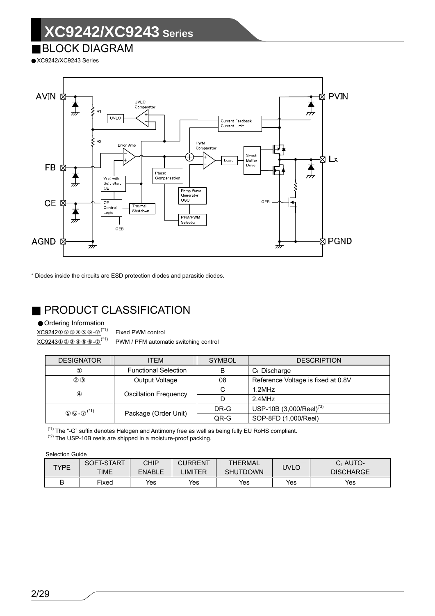## BLOCK DIAGRAM

XC9242/XC9243 Series



\* Diodes inside the circuits are ESD protection diodes and parasitic diodes.

# PRODUCT CLASSIFICATION

Ordering Information

 $XC9242$   $(*)$  Fixed PWM control

 $\overline{XC9243}$   $-$  (\*1) PWM / PFM automatic switching control

| <b>DESIGNATOR</b> | ITEM                         | <b>SYMBOL</b> | <b>DESCRIPTION</b>                   |
|-------------------|------------------------------|---------------|--------------------------------------|
|                   | <b>Functional Selection</b>  | B             | $C_{L}$ Discharge                    |
|                   | Output Voltage               | 08            | Reference Voltage is fixed at 0.8V   |
|                   |                              | С             | 1.2MHz                               |
|                   | <b>Oscillation Frequency</b> | D             | 2.4MHz                               |
| $(*1)$            | Package (Order Unit)         | DR-G          | USP-10B (3,000/Reel) <sup>(*2)</sup> |
|                   |                              | QR-G          | SOP-8FD (1,000/Reel)                 |

(\*1) The "-G" suffix denotes Halogen and Antimony free as well as being fully EU RoHS compliant.

(\*2) The USP-10B reels are shipped in a moisture-proof packing.

Selection Guide

| <b>TYPE</b> | SOFT-START<br><b>TIME</b> | <b>CHIP</b><br><b>ENABLE</b> | <b>CURRENT</b><br><b>IMITER</b> | <b>THERMAL</b><br><b>SHUTDOWN</b> | UVLO | C <sub>I</sub> AUTO-<br><b>DISCHARGE</b> |
|-------------|---------------------------|------------------------------|---------------------------------|-----------------------------------|------|------------------------------------------|
| D           | Fixed                     | Yes                          | Yes                             | Yes                               | Yes  | Yes                                      |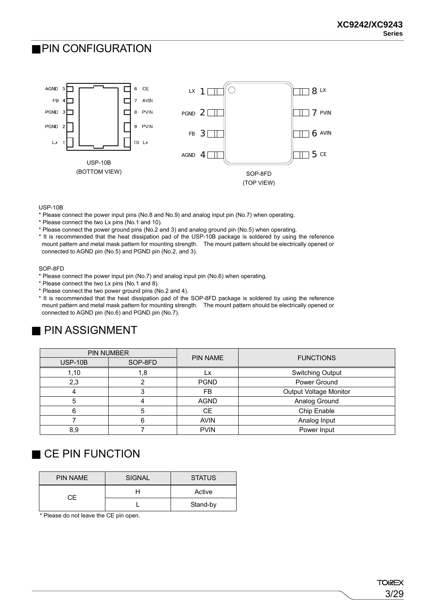## PIN CONFIGURATION



USP-10B

- \* Please connect the power input pins (No.8 and No.9) and analog input pin (No.7) when operating.
- \* Please connect the two Lx pins (No.1 and 10).
- \* Please connect the power ground pins (No.2 and 3) and analog ground pin (No.5) when operating.
- \* It is recommended that the heat dissipation pad of the USP-10B package is soldered by using the reference mount pattern and metal mask pattern for mounting strength. The mount pattern should be electrically opened or connected to AGND pin (No.5) and PGND pin (No.2, and 3).

#### SOP-8FD

- \* Please connect the power input pin (No.7) and analog input pin (No.6) when operating.
- \* Please connect the two Lx pins (No.1 and 8).
- \* Please connect the two power ground pins (No.2 and 4).
- \* It is recommended that the heat dissipation pad of the SOP-8FD package is soldered by using the reference mount pattern and metal mask pattern for mounting strength. The mount pattern should be electrically opened or connected to AGND pin (No.6) and PGND pin (No.7).

# PIN ASSIGNMENT

|           | PIN NUMBER | <b>PIN NAME</b> | <b>FUNCTIONS</b>        |
|-----------|------------|-----------------|-------------------------|
| $USP-10B$ | SOP-8FD    |                 |                         |
| 1,10      | 1,8        |                 | <b>Switching Output</b> |
| 2,3       |            | <b>PGND</b>     | Power Ground            |
|           |            | FB.             | Output Voltage Monitor  |
|           |            | <b>AGND</b>     | Analog Ground           |
| 6         | 5          | <b>CE</b>       | Chip Enable             |
|           | 6          | <b>AVIN</b>     | Analog Input            |
| 8,9       |            | <b>PVIN</b>     | Power Input             |

# CE PIN FUNCTION

| <b>PIN NAME</b> | <b>SIGNAL</b> | <b>STATUS</b> |
|-----------------|---------------|---------------|
| СF              |               | Active        |
|                 |               | Stand-by      |

\* Please do not leave the CE pin open.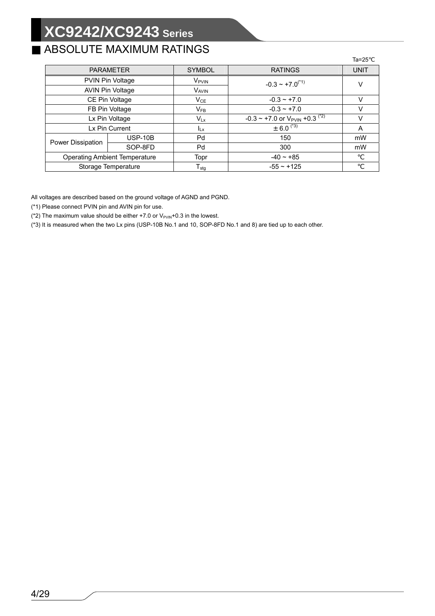# ABSOLUTE MAXIMUM RATINGS

|                                      |                         |                   |                                                            | la=25       |
|--------------------------------------|-------------------------|-------------------|------------------------------------------------------------|-------------|
| <b>PARAMETER</b>                     |                         | <b>SYMBOL</b>     | <b>RATINGS</b>                                             | <b>UNIT</b> |
|                                      | PVIN Pin Voltage        | V <sub>PVIN</sub> | $-0.3 \sim +7.0^{(4)}$                                     | ν           |
|                                      | <b>AVIN Pin Voltage</b> | <b>VAVIN</b>      |                                                            |             |
|                                      | CE Pin Voltage          | $V_{CE}$          | $-0.3 - +7.0$                                              | v           |
|                                      | FB Pin Voltage          |                   | $-0.3 - +7.0$                                              | V           |
|                                      | Lx Pin Voltage          | $V_{Lx}$          | $-0.3 \sim +7.0$ or V <sub>PVIN</sub> +0.3 <sup>(*2)</sup> |             |
|                                      | Lx Pin Current          | $I_{Lx}$          | $\pm 6.0^{(4)}$                                            | A           |
| Power Dissipation                    | $USP-10B$               | Pd                | 150                                                        | mW          |
|                                      | SOP-8FD                 | Pd                | 300                                                        | mW          |
| <b>Operating Ambient Temperature</b> |                         | Topr              | $-40 \sim +85$                                             |             |
| Storage Temperature                  |                         | $T_{\text{stg}}$  | $-55 \sim +125$                                            |             |

All voltages are described based on the ground voltage of AGND and PGND.

(\*1) Please connect PVIN pin and AVIN pin for use.

(\*2) The maximum value should be either  $+7.0$  or  $V_{PVIN}+0.3$  in the lowest.

(\*3) It is measured when the two Lx pins (USP-10B No.1 and 10, SOP-8FD No.1 and 8) are tied up to each other.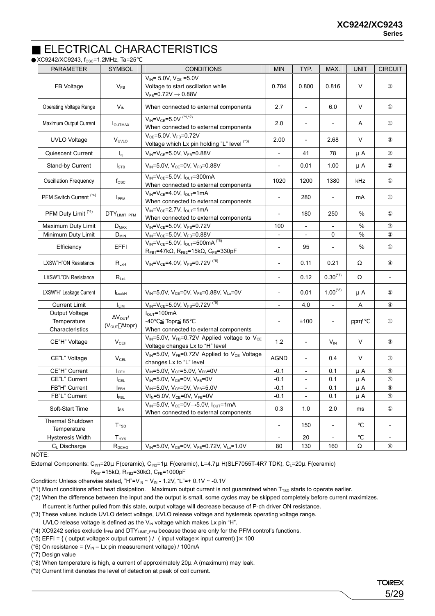## ELECTRICAL CHARACTERISTICS XC9242/XC9243, fosc=1.2MHz, Ta=25

| <b>PARAMETER</b>                                 | <b>SYMBOL</b>                                                     | <b>CONDITIONS</b>                                                                                                                | <b>MIN</b>                   | TYP.                     | MAX.                     | <b>UNIT</b> | <b>CIRCUIT</b>           |
|--------------------------------------------------|-------------------------------------------------------------------|----------------------------------------------------------------------------------------------------------------------------------|------------------------------|--------------------------|--------------------------|-------------|--------------------------|
| FB Voltage                                       | $V_{FB}$                                                          | $V_{IN}$ = 5.0V, $V_{CE}$ =5.0V<br>Voltage to start oscillation while<br>$V_{FB}$ =0.72V $\rightarrow$ 0.88V                     | 0.784                        | 0.800                    | 0.816                    | V           |                          |
| Operating Voltage Range                          | $V_{\text{IN}}$                                                   | When connected to external components                                                                                            | 2.7                          | $\overline{\phantom{a}}$ | 6.0                      | $\vee$      |                          |
| Maximum Output Current                           | <b>I</b> OUTMAX                                                   | $V_{IN} = V_{CE} = 5.0V$ <sup>(*1,*2)</sup><br>When connected to external components                                             | 2.0                          | $\overline{\phantom{a}}$ |                          | A           |                          |
| <b>UVLO Voltage</b>                              | V <sub>UVLO</sub>                                                 | $V_{CE} = 5.0V, V_{FB} = 0.72V$<br>Voltage which Lx pin holding "L" level (*3)                                                   | 2.00                         | $\overline{\phantom{a}}$ | 2.68                     | V           |                          |
| Quiescent Current                                | $I_q$                                                             | $V_{IN} = V_{CF} = 5.0V$ , $V_{FB} = 0.88V$                                                                                      | $\overline{\phantom{0}}$     | 41                       | 78                       | μA          |                          |
| Stand-by Current                                 | $I_{\text{STB}}$                                                  | $V_{IN} = 5.0V$ , $V_{CE} = 0V$ , $V_{FB} = 0.88V$                                                                               |                              | 0.01                     | 1.00                     | μA          |                          |
| <b>Oscillation Frequency</b>                     | $f_{\rm osc}$                                                     | $V_{IN} = V_{CE} = 5.0V$ , $I_{OUT} = 300mA$<br>When connected to external components                                            | 1020                         | 1200                     | 1380                     | kHz         |                          |
| PFM Switch Current <sup>(*4)</sup>               | I <sub>PFM</sub>                                                  | $V_{IN} = V_{CE} = 4.0 V$ , $I_{OUT} = 1 mA$<br>When connected to external components                                            | $\qquad \qquad \blacksquare$ | 280                      |                          | mA          |                          |
| PFM Duty Limit <sup>(*4)</sup>                   | DTYLIMIT_PFM                                                      | $V_{IN} = V_{CF} = 2.7V$ , $I_{OUT} = 1mA$<br>When connected to external components                                              | $\frac{1}{2}$                | 180                      | 250                      | %           |                          |
| Maximum Duty Limit                               | $\mathsf{D}_{\mathsf{MAX}}$                                       | $V_{IN} = V_{CE} = 5.0 V, V_{FB} = 0.72 V$                                                                                       | 100                          | $\overline{\phantom{a}}$ |                          | %           |                          |
| Minimum Duty Limit                               | $D_{MIN}$                                                         | $V_{IN} = V_{CE} = 5.0 V$ , $V_{FB} = 0.88 V$                                                                                    |                              |                          | 0                        | %           |                          |
| Efficiency                                       | <b>EFFI</b>                                                       | $V_{IN} = V_{CE} = 5.0V, I_{OUT} = 500mA$ <sup>(*5)</sup><br>$R_{FB1}$ =47k $\Omega$ , $R_{FB2}$ =15k $\Omega$ , $C_{FB}$ =330pF | $\overline{a}$               | 95                       |                          | %           |                          |
| LXSW"H"ON Resistance                             | $R_{LxH}$                                                         | $V_{IN} = V_{CE} = 4.0 V$ , $V_{FB} = 0.72 V^{(16)}$                                                                             |                              | 0.11                     | 0.21                     |             |                          |
| LXSW"L"ON Resistance                             | $R_{LxL}$                                                         |                                                                                                                                  | $\frac{1}{2}$                | 0.12                     | $0.30^{(2)}$             |             | $\overline{\phantom{a}}$ |
| LXSW"H" Leakage Current                          | LeakH                                                             | $V_{IN} = 5.0V$ , $V_{CE} = 0V$ , $V_{FB} = 0.88V$ , $V_{Lx} = 0V$                                                               | $\frac{1}{2}$                | 0.01                     | $1.00^{(*8)}$            | μA          |                          |
| <b>Current Limit</b>                             | $I_{LIM}$                                                         | $V_{IN} = V_{CE} = 5.0V$ , $V_{FB} = 0.72V$ <sup>(*9)</sup>                                                                      | $\overline{\phantom{a}}$     | 4.0                      |                          | A           |                          |
| Output Voltage<br>Temperature<br>Characteristics | $\Delta V_{\text{OUT}}/$<br>$(V_{\text{OUT}} \Delta \text{topr})$ | $I_{OUT} = 100mA$<br>$-40$<br>Topr 85<br>When connected to external components                                                   | $\frac{1}{2}$                | ±100                     | $\overline{\phantom{a}}$ | ppm/        |                          |
| CE"H" Voltage                                    | $V_{CEH}$                                                         | $V_{IN}$ =5.0V, VFB=0.72V Applied voltage to V <sub>CE</sub><br>Voltage changes Lx to "H" level                                  | 1.2                          | $\overline{\phantom{a}}$ | $V_{\text{IN}}$          | $\vee$      |                          |
| CE"L" Voltage                                    | $V_{\text{CEL}}$                                                  | V <sub>IN</sub> =5.0V, V <sub>FB</sub> =0.72V Applied to V <sub>CE</sub> Voltage<br>changes Lx to "L" level                      | AGND                         | $\overline{\phantom{a}}$ | 0.4                      | $\vee$      |                          |
| CE"H" Current                                    | I <sub>CEH</sub>                                                  | $V_{IN} = 5.0V$ , $V_{CE} = 5.0V$ , $V_{FB} = 0V$                                                                                | $-0.1$                       |                          | 0.1                      | μA          |                          |
| CE"L" Current                                    | $I_{\text{CEL}}$                                                  | $V_{IN} = 5.0V$ , $V_{CE} = 0V$ , $V_{FB} = 0V$                                                                                  | $-0.1$                       |                          | 0.1                      | $\mu$ A     |                          |
| FB"H" Current                                    | $I_{\mathsf{FBH}}$                                                | $V_{IN} = 5.0V$ , $V_{CE} = 0V$ , $V_{FB} = 5.0V$                                                                                | $-0.1$                       |                          | 0.1                      | μA          |                          |
| FB"L" Current                                    | $I_{FBL}$                                                         | $VIN=5.0V, VCE=0V, VFB=0V$                                                                                                       | $-0.1$                       | $\overline{\phantom{a}}$ | 0.1                      | μA          |                          |
| Soft-Start Time                                  | $t_{SS}$                                                          | $V_{IN} = 5.0V$ , $V_{CE} = 0V \rightarrow 5.0V$ , $I_{OUT} = 1mA$<br>When connected to external components                      | 0.3                          | 1.0                      | 2.0                      | ms          |                          |
| Thermal Shutdown<br>Temperature                  | T <sub>TSD</sub>                                                  |                                                                                                                                  | -                            | 150                      |                          |             |                          |
| <b>Hysteresis Width</b>                          | $T_{HYS}$                                                         |                                                                                                                                  |                              | 20                       |                          |             | $\overline{\phantom{a}}$ |
| C <sub>L</sub> Discharge                         | $R_{DCHG}$                                                        | $V_{IN} = 5.0 V$ , $V_{CE} = 0V$ , $V_{FB} = 0.72 V$ , $V_{Lx} = 1.0 V$                                                          | 80                           | 130                      | 160                      |             |                          |

 $NOTF$ 

External Components: C<sub>IN1</sub>=20μ F(ceramic), C<sub>IN2</sub>=1μ F(ceramic), L=4.7μ H(SLF7055T-4R7 TDK), C<sub>L</sub>=20μ F(ceramic)

 $R_{FB1}$ =15kΩ,  $R_{FB2}$ =30kΩ,  $C_{FB}$ =1000pF

Condition: Unless otherwise stated, "H"=V<sub>IN</sub> ~ V<sub>IN</sub> - 1.2V, "L"=+ 0.1V ~ -0.1V

(\*1) Mount conditions affect heat dissipation. Maximum output current is not guaranteed when  $T_{\text{TSD}}$  starts to operate earlier.

(\*2) When the difference between the input and the output is small, some cycles may be skipped completely before current maximizes.

If current is further pulled from this state, output voltage will decrease because of P-ch driver ON resistance.

(\*3) These values include UVLO detect voltage, UVLO release voltage and hysteresis operating voltage range.

UVLO release voltage is defined as the  $V_{\text{IN}}$  voltage which makes Lx pin "H".

(\*4) XC9242 series exclude  $I_{\text{PFM}}$  and DTY<sub>LIMIT\_PFM</sub> because those are only for the PFM control's functions.

(\*5) EFFI = { ( output voltage × output current ) / ( input voltage × input current) } × 100

(\*6) On resistance =  $(V_{\text{IN}} - Lx)$  pin measurement voltage) / 100mA

(\*7) Design value

(\*8) When temperature is high, a current of approximately 20μA (maximum) may leak.

(\*9) Current limit denotes the level of detection at peak of coil current.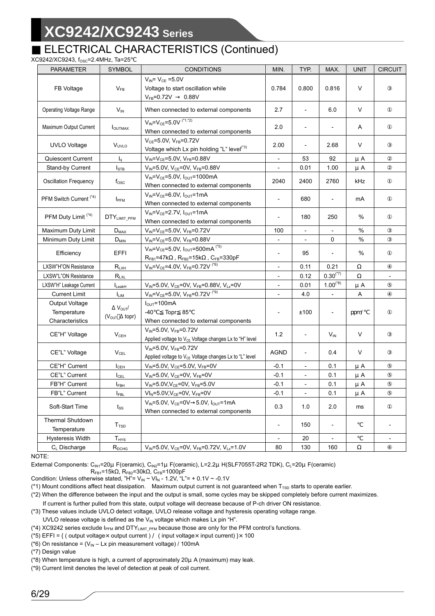## ELECTRICAL CHARACTERISTICS (Continued)

### XC9242/XC9243, fosc=2.4MHz, Ta=25

| <b>PARAMETER</b>                                 | <b>SYMBOL</b>                                   | <b>CONDITIONS</b>                                                                                                   | MIN.                         | TYP.                     | MAX.                     | <b>UNIT</b> | <b>CIRCUIT</b>               |
|--------------------------------------------------|-------------------------------------------------|---------------------------------------------------------------------------------------------------------------------|------------------------------|--------------------------|--------------------------|-------------|------------------------------|
| FB Voltage                                       | $V_{FB}$                                        | $V_{IN} = V_{CF} = 5.0V$<br>Voltage to start oscillation while<br>0.88V<br>$V_{FB} = 0.72V$                         | 0.784                        | 0.800                    | 0.816                    | V           |                              |
| <b>Operating Voltage Range</b>                   | $V_{IN}$                                        | When connected to external components                                                                               | 2.7                          | $\overline{\phantom{a}}$ | 6.0                      | V           |                              |
| Maximum Output Current                           | I <sub>OUTMAX</sub>                             | $V_{IN} = V_{CE} = 5.0V$ <sup>(*1,*2)</sup><br>When connected to external components                                | 2.0                          | $\overline{\phantom{a}}$ |                          | A           |                              |
| <b>UVLO Voltage</b>                              | V <sub>UVLO</sub>                               | $V_{CE} = 5.0V$ , $V_{FB} = 0.72V$<br>Voltage which Lx pin holding "L" level <sup>(*3)</sup>                        | 2.00                         | $\overline{\phantom{a}}$ | 2.68                     | V           |                              |
| Quiescent Current                                | $I_q$                                           | $V_{IN} = V_{CE} = 5.0V$ , $V_{FB} = 0.88V$                                                                         | $\overline{\phantom{a}}$     | 53                       | 92                       | μA          |                              |
| Stand-by Current                                 | $I_{\text{STB}}$                                | $V_{IN} = 5.0V$ , $V_{CE} = 0V$ , $V_{FB} = 0.88V$                                                                  | $\overline{\phantom{0}}$     | 0.01                     | 1.00                     | μA          |                              |
| <b>Oscillation Frequency</b>                     | $f_{\rm osc}$                                   | $V_{IN} = V_{CE} = 5.0 V, I_{OUT} = 1000 mA$<br>When connected to external components                               | 2040                         | 2400                     | 2760                     | kHz         |                              |
| PFM Switch Current <sup>(*4)</sup>               | <b>I</b> PFM                                    | $V_{IN} = V_{CE} = 6.0V$ , $I_{OUT} = 1mA$<br>When connected to external components                                 | $\overline{a}$               | 680                      |                          | mA          |                              |
| PFM Duty Limit <sup>(*4)</sup>                   | $DTY_{LIMIT\_PFM}$                              | $V_{IN} = V_{CE} = 2.7V$ , $I_{OUT} = 1mA$<br>When connected to external components                                 |                              | 180                      | 250                      | %           |                              |
| Maximum Duty Limit                               | $D_{MAX}$                                       | $V_{IN} = V_{CE} = 5.0 V, V_{FB} = 0.72 V$                                                                          | 100                          |                          |                          | %           |                              |
| Minimum Duty Limit                               | $D_{MIN}$                                       | $V_{IN} = V_{CE} = 5.0V$ , $V_{FB} = 0.88V$                                                                         |                              |                          | $\mathbf 0$              | $\%$        |                              |
| Efficiency                                       | EFFI                                            | $V_{IN} = V_{CE} = 5.0V$ , $I_{OUT} = 500mA$ <sup>(5)</sup><br>$R_{FB1} = 47k$ , $R_{FB2} = 15k$ , $C_{FB} = 330pF$ | $\overline{a}$               | 95                       |                          | $\%$        |                              |
| LXSW"H"ON Resistance                             | $R_{LXH}$                                       | $V_{IN} = V_{CE} = 4.0 V, V_{FB} = 0.72 V^{(6)}$                                                                    | $\overline{\phantom{0}}$     | 0.11                     | 0.21                     |             |                              |
| <b>LXSW"L"ON Resistance</b>                      | $R_{LXL}$                                       |                                                                                                                     | $\qquad \qquad \blacksquare$ | 0.12                     | $0.30^\mathrm{(*7)}$     |             |                              |
| LXSW"H" Leakage Current                          | $I_{\text{LeakH}}$                              | $V_{IN} = 5.0 V, V_{CE} = 0V, V_{FB} = 0.88 V, V_{Lx} = 0V$                                                         | $\qquad \qquad -$            | 0.01                     | $1.00^{(*8)}$            | μA          |                              |
| <b>Current Limit</b>                             | $I_{LIM}$                                       | $V_{\text{IN}} = V_{\text{CE}} = 5.0 V, V_{\text{FB}} = 0.72 V^{(4)}$                                               | $\overline{\phantom{a}}$     | 4.0                      |                          | A           |                              |
| Output Voltage<br>Temperature<br>Characteristics | $V_{\text{OUT}}/$<br>topr)<br>(V <sub>OUT</sub> | $IOUT=100mA$<br>-40<br>Topr 85<br>When connected to external components                                             | $\overline{\phantom{a}}$     | ±100                     | $\overline{\phantom{a}}$ | ppm/        |                              |
| CE"H" Voltage                                    | $V_{CEH}$                                       | $V_{IN} = 5.0V$ , $V_{FB} = 0.72V$<br>Applied voltage to V <sub>CE</sub> Voltage changes Lx to "H" level            | 1.2                          | $\overline{\phantom{a}}$ | $V_{IN}$                 | V           |                              |
| CE"L" Voltage                                    | $V_{\text{CEL}}$                                | $V_{IN} = 5.0V$ , $V_{FB} = 0.72V$<br>Applied voltage to V <sub>CE</sub> Voltage changes Lx to "L" level            | <b>AGND</b>                  | $\overline{\phantom{a}}$ | 0.4                      | V           |                              |
| CE"H" Current                                    | $I_{\text{CEH}}$                                | $V_{IN} = 5.0 V$ , $V_{CE} = 5.0 V$ , $V_{FB} = 0 V$                                                                | $-0.1$                       |                          | 0.1                      | μA          |                              |
| CE"L" Current                                    | $I_{\text{CEL}}$                                | $V_{IN} = 5.0V$ , $V_{CE} = 0V$ , $V_{FB} = 0V$                                                                     | $-0.1$                       |                          | 0.1                      | μA          |                              |
| FB"H" Current                                    | $I_{FBH}$                                       | $V_{IN} = 5.0 V, V_{CE} = 0 V, V_{FB} = 5.0 V$                                                                      | $-0.1$                       |                          | 0.1                      | μA          |                              |
| FB"L" Current                                    | $I_{FBL}$                                       | $VI_{N} = 5.0V, V_{CE} = 0V, V_{FB} = 0V$                                                                           | $-0.1$                       | $\overline{\phantom{a}}$ | 0.1                      | μA          |                              |
| Soft-Start Time                                  | $t_{SS}$                                        | $V_{IN} = 5.0 V$ , $V_{CE} = 0V$ 5.0V, $I_{OUT} = 1 mA$<br>When connected to external components                    | 0.3                          | 1.0                      | 2.0                      | ms          |                              |
| Thermal Shutdown<br>Temperature                  | $T_{\text{TSD}}$                                |                                                                                                                     |                              | 150                      |                          |             |                              |
| Hysteresis Width                                 | $T_{HYS}$                                       |                                                                                                                     | $\qquad \qquad -$            | 20                       |                          |             | $\qquad \qquad \blacksquare$ |
| C <sub>L</sub> Discharge                         | $R_{DCHG}$                                      | $V_{IN} = 5.0 V$ , $V_{CE} = 0V$ , $V_{FB} = 0.72 V$ , $V_{Lx} = 1.0 V$                                             | 80                           | 130                      | 160                      |             |                              |

NOTE:

External Components: C<sub>IN1</sub>=20μ F(ceramic), C<sub>IN2</sub>=1μ F(ceramic), L=2.2μ H(SLF7055T-2R2 TDK), C<sub>L</sub>=20μ F(ceramic)

$$
R_{FB1}=15k\Omega, R_{FB2}=30k\Omega, C_{FB}=1000pF
$$
\nCondition: Unless otherwise stated, "H" = V<sub>IN</sub> ~ VI<sub>N</sub> - 1.2V, "L" = + 0.1V ~ -0.1V

(\*1) Mount conditions affect heat dissipation. Maximum output current is not guaranteed when  $T_{\text{TSD}}$  starts to operate earlier.

(\*2) When the difference between the input and the output is small, some cycles may be skipped completely before current maximizes.

If current is further pulled from this state, output voltage will decrease because of P-ch driver ON resistance.

(\*3) These values include UVLO detect voltage, UVLO release voltage and hysteresis operating voltage range.

UVLO release voltage is defined as the  $V_{\text{IN}}$  voltage which makes Lx pin "H".

(\*4) XC9242 series exclude  $I_{\text{PFM}}$  and DTY<sub>LIMIT</sub>  $_{\text{PFM}}$  because those are only for the PFM control's functions.

(\*5) EFFI = { ( output voltage × output current ) / ( input voltage × input current) } × 100

(\*6) On resistance =  $(V_{\text{IN}} - Lx)$  pin measurement voltage) / 100mA

(\*7) Design value

(\*8) When temperature is high, a current of approximately 20μA (maximum) may leak.

(\*9) Current limit denotes the level of detection at peak of coil current.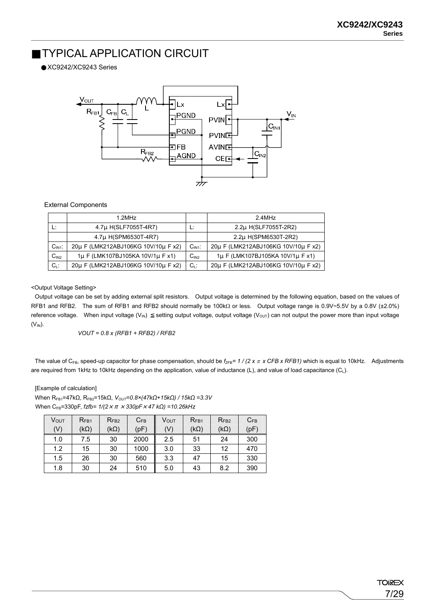# TYPICAL APPLICATION CIRCUIT

XC9242/XC9243 Series



### External Components

|                  | 1.2MHz                              |           | 24MHz                               |
|------------------|-------------------------------------|-----------|-------------------------------------|
|                  | 4.7µ H(SLF7055T-4R7)                |           | 2.2µ H(SLF7055T-2R2)                |
|                  | 4.7µ H(SPM6530T-4R7)                |           | 2.2µ H(SPM6530T-2R2)                |
| $CIN1$ :         | 20µ F (LMK212ABJ106KG 10V/10µ F x2) | $CIN1$ :  | 20µ F (LMK212ABJ106KG 10V/10µ F x2) |
| C <sub>IN2</sub> | 1µ F (LMK107BJ105KA 10V/1µ F x1)    | $C_{IN2}$ | 1µ F (LMK107BJ105KA 10V/1µ F x1)    |
| $C_1$ :          | 20µ F (LMK212ABJ106KG 10V/10µ F x2) | $C_1$ :   | 20µ F (LMK212ABJ106KG 10V/10µ F x2) |

<Output Voltage Setting>

Output voltage can be set by adding external split resistors. Output voltage is determined by the following equation, based on the values of RFB1 and RFB2. The sum of RFB1 and RFB2 should normally be 100kΩ or less. Output voltage range is 0.9V~5.5V by a 0.8V (±2.0%) reference voltage. When input voltage  $(V_{IN})$  setting output voltage, output voltage  $(V_{OUT})$  can not output the power more than input voltage  $(V_{IN})$ .

*VOUT = 0.8 x (RFB1 + RFB2) / RFB2* 

The value of C<sub>FB</sub>, speed-up capacitor for phase compensation, should be  $f_{\text{ZFB}} = 1 / (2 × π × CFB × RFB1)$  which is equal to 10kHz. Adjustments are required from 1kHz to 10kHz depending on the application, value of inductance (L), and value of load capacitance (C<sub>L</sub>).

[Example of calculation]

When R<sub>FB1</sub>=47kΩ, R<sub>FB2</sub>=15kΩ, V<sub>OUT</sub>=0.8×(47kΩ+15kΩ) / 15kΩ =3.3V When CFB=330pF, *fzfb= 1/(2*×π×*330pF*×*47 kΩ) =10.26kHz*

| Ѵѹт<br>(V) | $R_{FB1}$<br>$(k\Omega)$ | $R_{FB2}$<br>(kΩ) | $C_{FB}$<br>(pF) | V <sub>OUT</sub><br>(V) | $R_{FB1}$<br>$(k\Omega)$ | $R_{FB2}$<br>$(k\Omega)$ | $C_{FB}$<br>(pF) |
|------------|--------------------------|-------------------|------------------|-------------------------|--------------------------|--------------------------|------------------|
| 1.0        | 7.5                      | 30                | 2000             | 2.5                     | 51                       | 24                       | 300              |
| 1.2        | 15                       | 30                | 1000             | 3.0                     | 33                       | 12                       | 470              |
| 1.5        | 26                       | 30                | 560              | 3.3                     | 47                       | 15                       | 330              |
| 1.8        | 30                       | 24                | 510              | 5.0                     | 43                       | 8.2                      | 390              |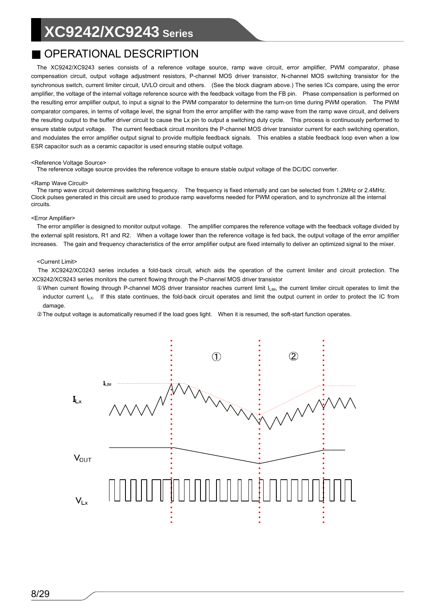# OPERATIONAL DESCRIPTION

The XC9242/XC9243 series consists of a reference voltage source, ramp wave circuit, error amplifier, PWM comparator, phase compensation circuit, output voltage adjustment resistors, P-channel MOS driver transistor, N-channel MOS switching transistor for the synchronous switch, current limiter circuit, UVLO circuit and others. (See the block diagram above.) The series ICs compare, using the error amplifier, the voltage of the internal voltage reference source with the feedback voltage from the FB pin. Phase compensation is performed on the resulting error amplifier output, to input a signal to the PWM comparator to determine the turn-on time during PWM operation. The PWM comparator compares, in terms of voltage level, the signal from the error amplifier with the ramp wave from the ramp wave circuit, and delivers the resulting output to the buffer driver circuit to cause the Lx pin to output a switching duty cycle. This process is continuously performed to ensure stable output voltage. The current feedback circuit monitors the P-channel MOS driver transistor current for each switching operation, and modulates the error amplifier output signal to provide multiple feedback signals. This enables a stable feedback loop even when a low ESR capacitor such as a ceramic capacitor is used ensuring stable output voltage.

#### <Reference Voltage Source>

The reference voltage source provides the reference voltage to ensure stable output voltage of the DC/DC converter.

#### <Ramp Wave Circuit>

The ramp wave circuit determines switching frequency. The frequency is fixed internally and can be selected from 1.2MHz or 2.4MHz. Clock pulses generated in this circuit are used to produce ramp waveforms needed for PWM operation, and to synchronize all the internal circuits.

#### <Error Amplifier>

The error amplifier is designed to monitor output voltage. The amplifier compares the reference voltage with the feedback voltage divided by the external split resistors, R1 and R2. When a voltage lower than the reference voltage is fed back, the output voltage of the error amplifier increases. The gain and frequency characteristics of the error amplifier output are fixed internally to deliver an optimized signal to the mixer.

#### <Current Limit>

The XC9242/XC0243 series includes a fold-back circuit, which aids the operation of the current limiter and circuit protection. The XC9242/XC9243 series monitors the current flowing through the P-channel MOS driver transistor

When current flowing through P-channel MOS driver transistor reaches current limit  $I_{LIM}$ , the current limiter circuit operates to limit the inductor current  $I_{LX}$ . If this state continues, the fold-back circuit operates and limit the output current in order to protect the IC from damage.

The output voltage is automatically resumed if the load goes light. When it is resumed, the soft-start function operates.

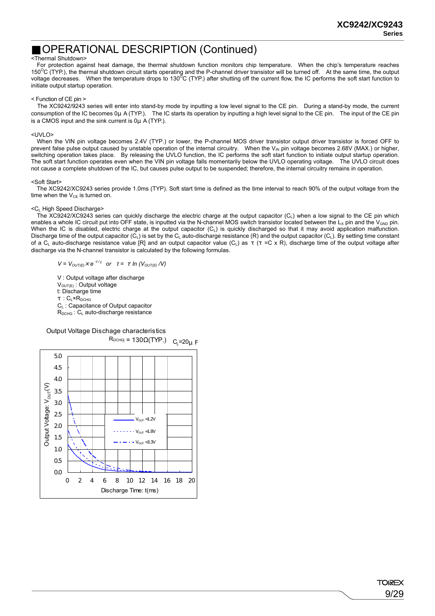## OPERATIONAL DESCRIPTION (Continued)

#### <Thermal Shutdown>

For protection against heat damage, the thermal shutdown function monitors chip temperature. When the chip's temperature reaches 150<sup>o</sup>C (TYP.), the thermal shutdown circuit starts operating and the P-channel driver transistor will be turned off. At the same time, the output voltage decreases. When the temperature drops to 130<sup>o</sup>C (TYP.) after shutt initiate output startup operation.

#### < Function of CE pin >

The XC9242/9243 series will enter into stand-by mode by inputting a low level signal to the CE pin. During a stand-by mode, the current consumption of the IC becomes 0μA (TYP.). The IC starts its operation by inputting a high level signal to the CE pin. The input of the CE pin is a CMOS input and the sink current is 0μ A (TYP.).

#### <UVLO>

When the VIN pin voltage becomes 2.4V (TYP.) or lower, the P-channel MOS driver transistor output driver transistor is forced OFF to prevent false pulse output caused by unstable operation of the internal circuitry. When the V<sub>IN</sub> pin voltage becomes 2.68V (MAX.) or higher, switching operation takes place. By releasing the UVLO function, the IC performs the soft start function to initiate output startup operation. The soft start function operates even when the VIN pin voltage falls momentarily below the UVLO operating voltage. The UVLO circuit does not cause a complete shutdown of the IC, but causes pulse output to be suspended; therefore, the internal circuitry remains in operation.

#### <Soft Start>

The XC9242/XC9243 series provide 1.0ms (TYP). Soft start time is defined as the time interval to reach 90% of the output voltage from the time when the  $V_{CF}$  is turned on.

#### <CL High Speed Discharge>

The XC9242/XC9243 series can quickly discharge the electric charge at the output capacitor  $(C<sub>1</sub>)$  when a low signal to the CE pin which enables a whole IC circuit put into OFF state, is inputted via the N-channel MOS switch transistor located between the  $L_x$  pin and the  $V_{GND}$  pin. When the IC is disabled, electric charge at the output capacitor  $(C<sub>L</sub>)$  is quickly discharged so that it may avoid application malfunction. Discharge time of the output capacitor ( $\tilde{C}_L$ ) is set by the  $C_L$  auto-discharge resistance (R) and the output capacitor ( $C_L$ ). By setting time constant of a  $C_L$  auto-discharge resistance value [R] and an output capacitor value  $(C_L)$  as  $( =C \times R)$ , discharge time of the output voltage after discharge via the N-channel transistor is calculated by the following formulas.

 $V = V_{OUT(E)} \times e^{-t/2}$  or  $t = ln (V_{OUT(E)} / V)$ 

 V : Output voltage after discharge  $V_{\text{OUT}(E)}$ : Output voltage t: Discharge time :  $C_l \times R_{DCHG}$ C<sub>L</sub>: Capacitance of Output capacitor  $R_{DCHG}$  :  $C_{L}$  auto-discharge resistance

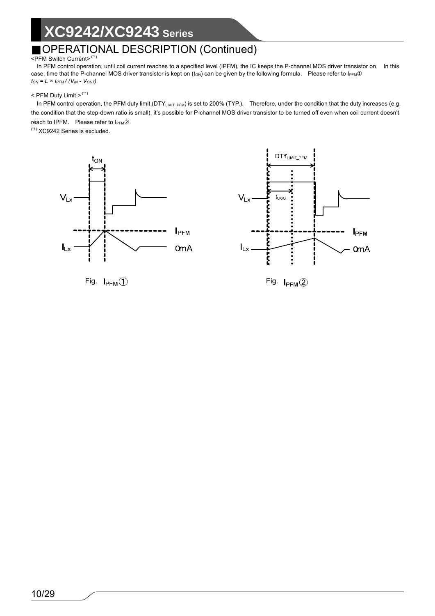# OPERATIONAL DESCRIPTION (Continued)

## <PFM Switch Current> (\*1)

In PFM control operation, until coil current reaches to a specified level (IPFM), the IC keeps the P-channel MOS driver transistor on. In this case, time that the P-channel MOS driver transistor is kept on  $(t_{ON})$  can be given by the following formula. Please refer to  $I_{PFM}$  $t_{\textit{ON}}=L\times I_{\textit{PFM}}/\left(V_{\textit{IN}}\cdot\,V_{\textit{OUT}}\right)$ 

### $<$  PFM Duty Limit  $>$   $(1)$

In PFM control operation, the PFM duty limit (DTY<sub>LIMIT\_PFM</sub>) is set to 200% (TYP.). Therefore, under the condition that the duty increases (e.g. the condition that the step-down ratio is small), it's possible for P-channel MOS driver transistor to be turned off even when coil current doesn't reach to IPFM. Please refer to I<sub>PFM</sub>

(\*1) XC9242 Series is excluded.





Fig.  $I_{\text{PFM}}$  (1) Fig.  $I_{\text{PFM}}$  (2)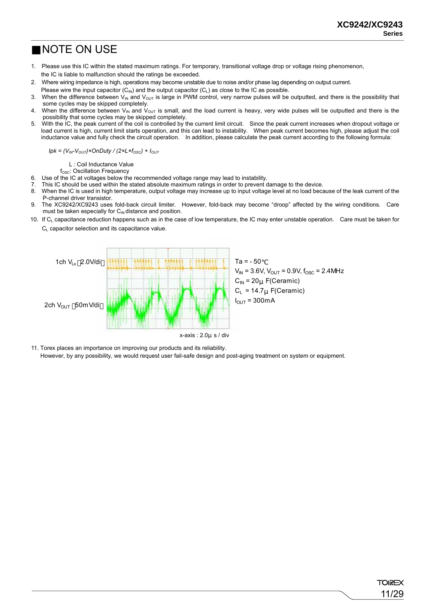11/29

**TOREX** 

## NOTE ON USE

- 1. Please use this IC within the stated maximum ratings. For temporary, transitional voltage drop or voltage rising phenomenon, the IC is liable to malfunction should the ratings be exceeded.
- 2. Where wiring impedance is high, operations may become unstable due to noise and/or phase lag depending on output current.
- Please wire the input capacitor  $(C_{N})$  and the output capacitor  $(C_{1})$  as close to the IC as possible.
- 3. When the difference between  $V_{\text{IN}}$  and  $V_{\text{OUT}}$  is large in PWM control, very narrow pulses will be outputted, and there is the possibility that some cycles may be skipped completely.
- 4. When the difference between  $V_{\text{IN}}$  and  $V_{\text{OUT}}$  is small, and the load current is heavy, very wide pulses will be outputted and there is the possibility that some cycles may be skipped completely.
- 5. With the IC, the peak current of the coil is controlled by the current limit circuit. Since the peak current increases when dropout voltage or load current is high, current limit starts operation, and this can lead to instability. When peak current becomes high, please adjust the coil inductance value and fully check the circuit operation. In addition, please calculate the peak current according to the following formula:

 $Ipk = (V_{IN} - V_{OUT}) \times OnDuty / (2 \times L \times f_{OSC}) + I_{OUT}$ 

L : Coil Inductance Value

f<sub>osc</sub>: Oscillation Frequency

- 6. Use of the IC at voltages below the recommended voltage range may lead to instability.
- 7. This IC should be used within the stated absolute maximum ratings in order to prevent damage to the device.<br>8. When the IC is used in high temperature, output voltage may increase up to input voltage level at no load be
- When the IC is used in high temperature, output voltage may increase up to input voltage level at no load because of the leak current of the P-channel driver transistor.
- 9. The XC9242/XC9243 uses fold-back circuit limiter. However, fold-back may become "droop" affected by the wiring conditions. Care must be taken especially for  $C_{\text{IN}}$  distance and position.
- 10. If C<sub>L</sub> capacitance reduction happens such as in the case of low temperature, the IC may enter unstable operation. Care must be taken for  $C<sub>L</sub>$  capacitor selection and its capacitance value.



11. Torex places an importance on improving our products and its reliability.

However, by any possibility, we would request user fail-safe design and post-aging treatment on system or equipment.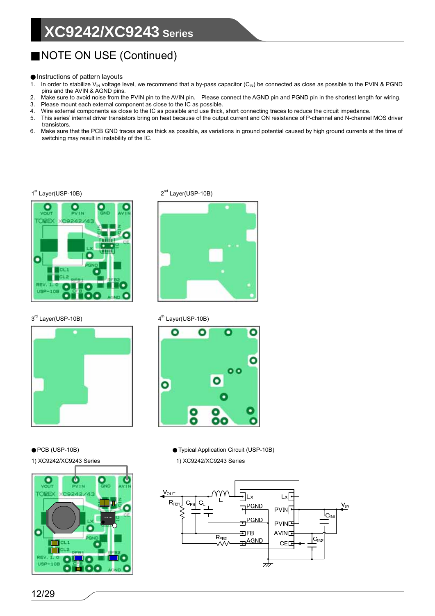# NOTE ON USE (Continued)

Instructions of pattern layouts

- 1. In order to stabilize V<sub>IN</sub> voltage level, we recommend that a by-pass capacitor (C<sub>IN</sub>) be connected as close as possible to the PVIN & PGND pins and the AVIN & AGND pins.
- 2. Make sure to avoid noise from the PVIN pin to the AVIN pin. Please connect the AGND pin and PGND pin in the shortest length for wiring.
- 3. Please mount each external component as close to the IC as possible. Wire external components as close to the IC as possible and use thick, short connecting traces to reduce the circuit impedance.
- 5. This series' internal driver transistors bring on heat because of the output current and ON resistance of P-channel and N-channel MOS driver transistors.
- 6. Make sure that the PCB GND traces are as thick as possible, as variations in ground potential caused by high ground currents at the time of switching may result in instability of the IC.



3<sup>rd</sup> Layer(USP-10B) 4<sup>th</sup> Layer(USP-10B)



1<sup>st</sup> Layer(USP-10B) 2<sup>nd</sup> Layer(USP-10B)





PCB (USP-10B) Typical Application Circuit (USP-10B) 1) XC9242/XC9243 Series 1) XC9242/XC9243 Series



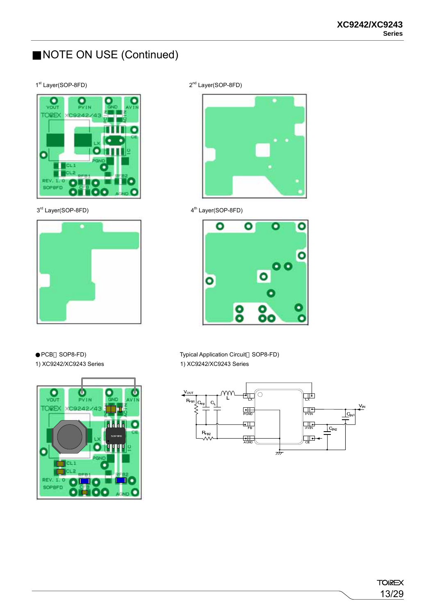# NOTE ON USE (Continued)

## 1st Layer(SOP-8FD) 2<sup>nd</sup> Layer(SOP-8FD)



3<sup>rd</sup> Layer(SOP-8FD) 4<sup>th</sup> Layer(SOP-8FD)







PCB SOP8-FD) Typical Application Circuit SOP8-FD)



1) XC9242/XC9243 Series 1) XC9242/XC9243 Series

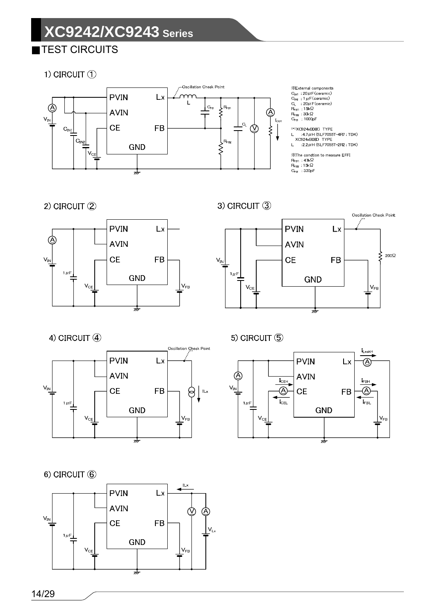TEST CIRCUITS

1) CIRCUIT ①



2) CIRCUIT (2)



3) CIRCUIT 3



4) CIRCUIT (4)



5) CIRCUIT (5)



 $6)$  CIRCUIT  $(6)$ 

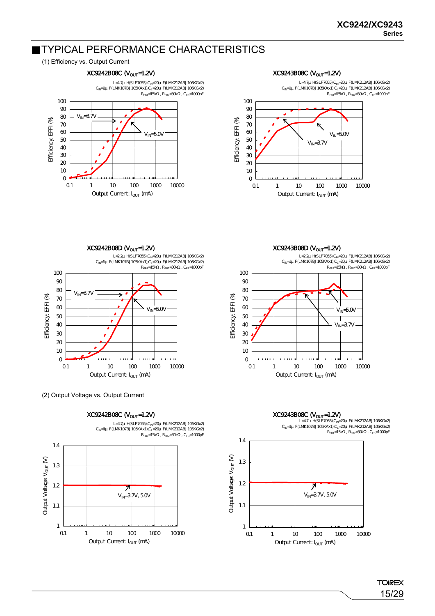## TYPICAL PERFORMANCE CHARACTERISTICS

### (1) Efficiency vs. Output Current



#### $XC9243BOBC$  ( $V_{OUT}$ =1.2V)



 $XC9243B08D$  ( $V<sub>OUT</sub>=1.2V$ )

70 80 90 100 L=2.2μH(SLF7055),CIN=20μF(LMK212ABJ106KGx2) C<sub>IN</sub>=1µ F(LMK107BJ105KAx1),C<sub>L</sub>=2QJ F(LMK212ABJ106KGx2)<br>R<sub>ED1</sub>=15k , R<sub>ED7</sub>=30k , C<sub>ED</sub>=10000F



 $XC9243B08C$  ( $V_{OUT}$ =1.2V) 1.4 1.3 1.2 7  $V_{IN} = 3.7V$ , 50V 1.1 1





 $XC9242B08D (V_{OUT}=1.2V)$ L=2.2μH(SLF7055),CIN=20μF(LMK212ABJ106KGx2) C<sub>IN</sub>=1µ F(LMK107BJ105KAx1),C<sub>L</sub>=20µ F(LMK212ABJ106KGx2)<br>R<sub>FB1</sub>=15k , R<sub>FB2</sub>=30k , C<sub>FB</sub>=10000F 100 90 80  $V_{IN} = 3.7V$ Efficiency: EFFI (%) Efficiency: EFFI (%) 70 60  $V_{IN} = 5.0V$ 50 40 30  $\alpha$ 10  $\mathsf{o}$ 0.1 1 10 100 1000 10000 Output Current: I<sub>OUT</sub> (mA)

(2) Output Voltage vs. Output Current

 $XC9242B08C$  ( $V_{OUT}$ =1.2V)

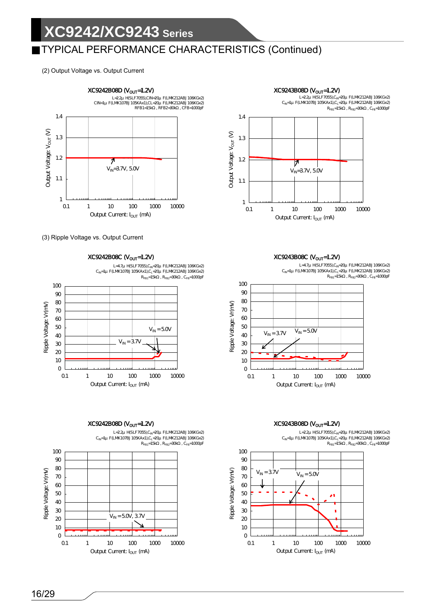# TYPICAL PERFORMANCE CHARACTERISTICS (Continued)

(2) Output Voltage vs. Output Current



(3) Ripple Voltage vs. Output Current

 $XC9242B08C$  ( $V_{OUT}$ =1.2V) L=4.7μ H(SLF7055),C<sub>IN</sub>=20μ F(LMK212ABJ106KGx2)<br>C<sub>IN</sub>=1μ F(LMK107BJ105KAx1),C<sub>L</sub>=20μ F(LMK212ABJ106KGx2)<br>R<sub>FB1</sub>=15k , R<sub>FB2</sub>=30k , C<sub>FB</sub>=1000pF



# $XC9242B08D$  ( $V_{OUT}$ =1.2V)











## $XC9243B08D$  ( $V_{OUT}$ =1.2V)

L=22μ H(SLF7055),C<sub>IN</sub>=20μ F(LMK212ABJ106KGx2)<br>C<sub>IN</sub>=1μ F(LMK107BJ105KAx1),C<sub>L</sub>=20μ F(LMK212ABJ106KGx2)<br>R<sub>FB1</sub>=15k , R<sub>FB2</sub>=30k , C<sub>FB</sub>=1000pF

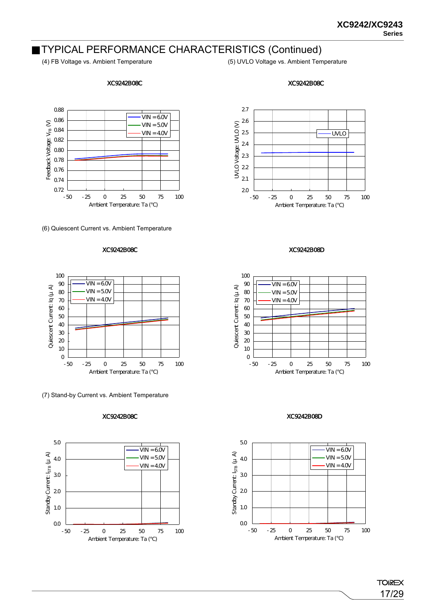## TYPICAL PERFORMANCE CHARACTERISTICS (Continued)

### XC9242B08C

(4) FB Voltage vs. Ambient Temperature (5) UVLO Voltage vs. Ambient Temperature





(6) Quiescent Current vs. Ambient Temperature

### XC9242B08C



(7) Stand-by Current vs. Ambient Temperature

#### XC9242B08C





XC9242B08D



#### XC9242B08D

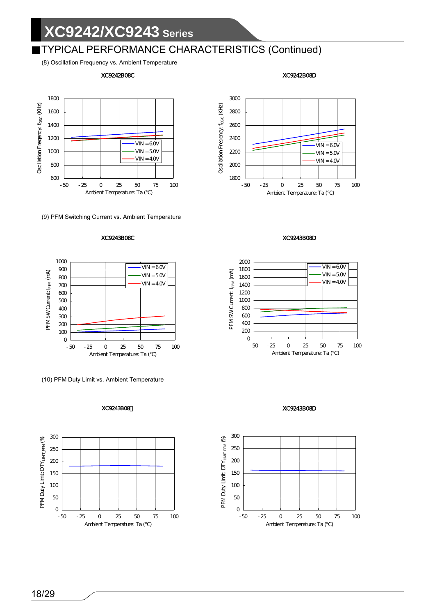## TYPICAL PERFORMANCE CHARACTERISTICS (Continued)

(8) Oscillation Frequency vs. Ambient Temperature

### XC9242B08C



(9) PFM Switching Current vs. Ambient Temperature

### XC9243B08C



(10) PFM Duty Limit vs. Ambient Temperature





XC9242B08D



#### XC9243B08D



XC9243B08D

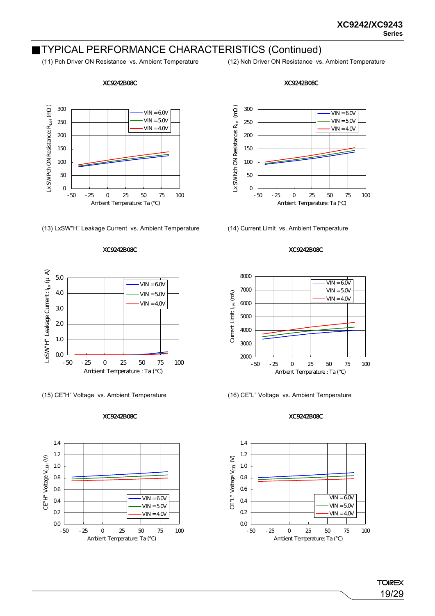## TYPICAL PERFORMANCE CHARACTERISTICS (Continued)

### XC9242B08C

Lx SWPch ON Resistance:  $R_{LxH}$  (m ) Lx SW Pch ON Resistance:  $R_{LxH}$  (m) 300  $VIN = 60V$  $VIN = 50V$ 250  $VIN = 4.0V$ 200 150 100 50 0 -50 -25 0 25 50 75 100 Ambient Temperature: Ta ()

(13) LxSW"H" Leakage Current vs. Ambient Temperature (14) Current Limit vs. Ambient Temperature

#### XC9242B08C



(15) CE"H" Voltage vs. Ambient Temperature (16) CE"L" Voltage vs. Ambient Temperature

#### XC9242B08C







### XC9242B08C



#### XC9242B08C



### XC9242B08C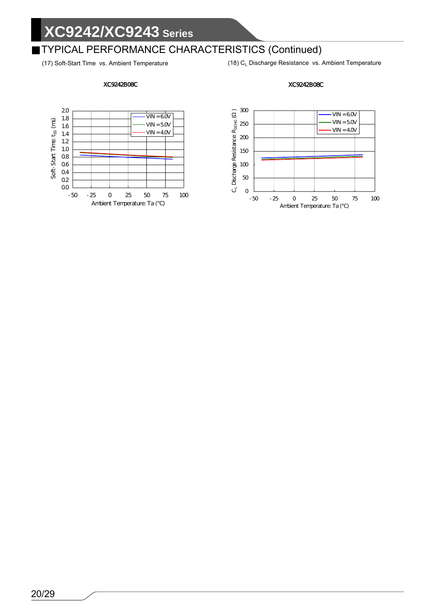# TYPICAL PERFORMANCE CHARACTERISTICS (Continued)

(17) Soft-Start Time vs. Ambient Temperature (18) C<sub>L</sub> Discharge Resistance vs. Ambient Temperature

### XC9242B08C





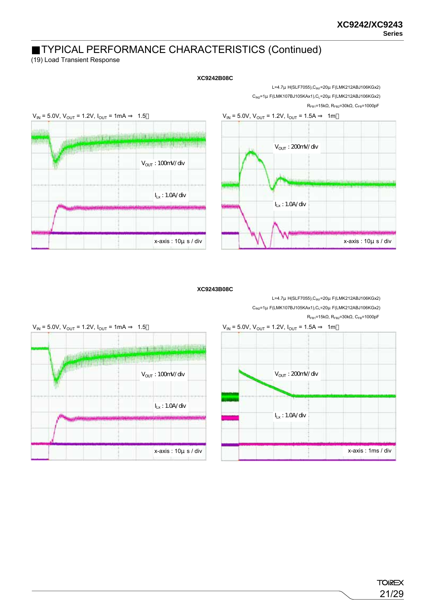## TYPICAL PERFORMANCE CHARACTERISTICS (Continued)

(19) Load Transient Response



### **XC9242B08C**

**XC9243B08C**





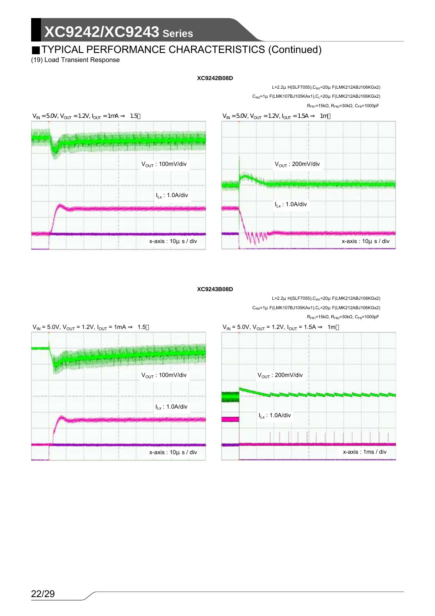# TYPICAL PERFORMANCE CHARACTERISTICS (Continued)

(19) Load Transient Response

### **XC9242B08D**

L=2.2μH(SLF7055),CIN1=20μF(LMK212ABJ106KGx2) C<sub>IN2</sub>=1μ F(LMK107BJ105KAx1),C<sub>L</sub>=20μ F(LMK212ABJ106KGx2)  $R_{FB1}$ =15kΩ,  $R_{FB2}$ =30kΩ,  $C_{FB}$ =1000pF





#### **XC9243B08D**

L=2.2μ H(SLF7055), C<sub>IN1</sub>=20μ F(LMK212ABJ106KGx2) C<sub>IN2</sub>=1μ F(LMK107BJ105KAx1),C<sub>L</sub>=20μ F(LMK212ABJ106KGx2)  $R_{FB1}$ =15kΩ,  $R_{FB2}$ =30kΩ,  $C_{FB}$ =1000pF



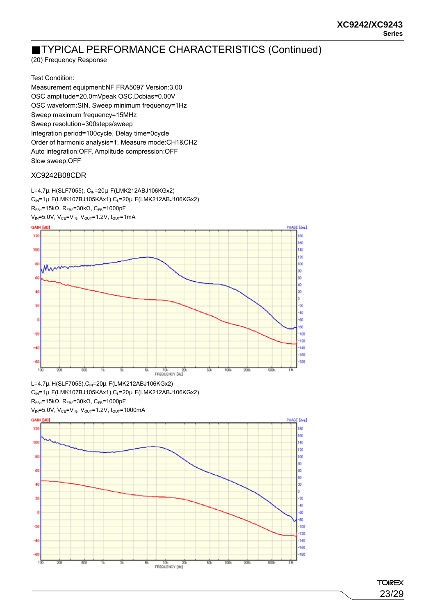## TYPICAL PERFORMANCE CHARACTERISTICS (Continued)

(20) Frequency Response

Test Condition:

Measurement equipment:NF FRA5097 Version:3.00 OSC amplitude=20.0mVpeak OSC.Dcbias=0.00V OSC waveform:SIN, Sweep minimum frequency=1Hz Sweep maximum frequency=15MHz Sweep resolution=300steps/sweep Integration period=100cycle, Delay time=0cycle Order of harmonic analysis=1, Measure mode:CH1&CH2 Auto integration:OFF, Amplitude compression:OFF Slow sweep:OFF

## XC9242B08CDR

L=4.7μ H(SLF7055), C<sub>IN</sub>=20μ F(LMK212ABJ106KGx2)  $C_{IN}$ =1μ F(LMK107BJ105KAx1), $C_L$ =20μ F(LMK212ABJ106KGx2)  $R_{FB1}=15kΩ$ ,  $R_{FB2}=30kΩ$ ,  $C_{FB}=1000pF$  $V_{IN} = 5.0V$ ,  $V_{CE} = V_{IN}$ ,  $V_{OUT} = 1.2V$ ,  $I_{OUT} = 1mA$ 



L=4.7μ H(SLF7055), C<sub>IN</sub>=20μ F(LMK212ABJ106KGx2)  $C_{IN}$ =1µ F(LMK107BJ105KAx1), $C_{L}$ =20µ F(LMK212ABJ106KGx2)  $R_{FB1}$ =15kΩ,  $R_{FB2}$ =30kΩ,  $C_{FB}$ =1000pF



**TOIREX** 23/29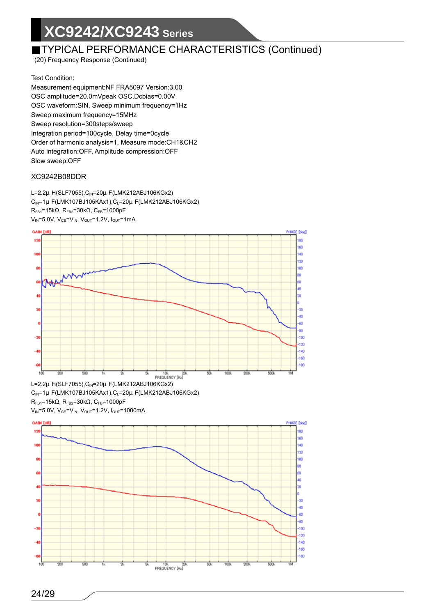## TYPICAL PERFORMANCE CHARACTERISTICS (Continued)

(20) Frequency Response (Continued)

Test Condition:

Measurement equipment:NF FRA5097 Version:3.00 OSC amplitude=20.0mVpeak OSC.Dcbias=0.00V OSC waveform:SIN, Sweep minimum frequency=1Hz Sweep maximum frequency=15MHz Sweep resolution=300steps/sweep Integration period=100cycle, Delay time=0cycle Order of harmonic analysis=1, Measure mode:CH1&CH2 Auto integration:OFF, Amplitude compression:OFF Slow sweep:OFF

## XC9242B08DDR

L=2.2μH(SLF7055),CIN=20μF(LMK212ABJ106KGx2)  $C_{IN}$ =1μ F(LMK107BJ105KAx1), $C_{L}$ =20μ F(LMK212ABJ106KGx2)  $R_{FB1}$ =15kΩ,  $R_{FB2}$ =30kΩ,  $C_{FB}$ =1000pF  $V_{IN} = 5.0V$ ,  $V_{CE} = V_{IN}$ ,  $V_{OUT} = 1.2V$ ,  $I_{OUT} = 1mA$ 



 $C_{IN}$ =1μ F(LMK107BJ105KAx1),  $C_{L}$ =20μ F(LMK212ABJ106KGx2)  $R_{FB1}$ =15kΩ,  $R_{FB2}$ =30kΩ,  $C_{FB}$ =1000pF

 $V_{IN}$ =5.0V,  $V_{CE}$ = $V_{IN}$ ,  $V_{OUT}$ =1.2V,  $I_{OUT}$ =1000mA

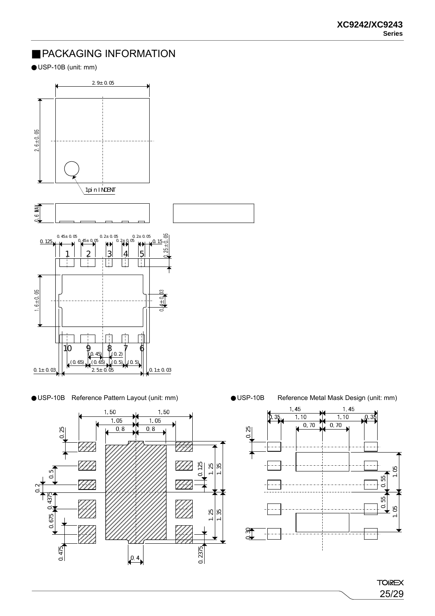## PACKAGING INFORMATION

USP-10B (unit: mm)



## USP-10B Reference Pattern Layout (unit: mm) VSP-10B Reference Metal Mask Design (unit: mm)





**TOIREX** 25/29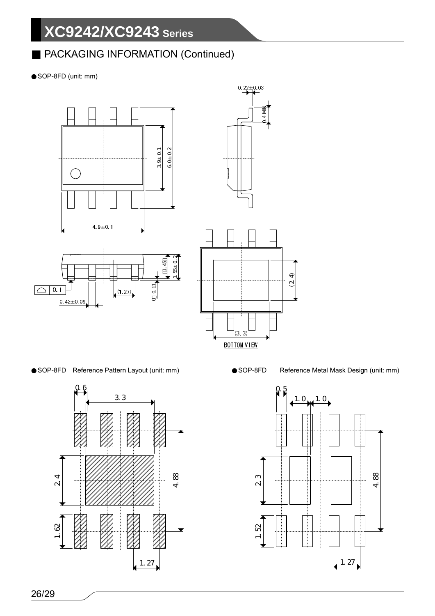# PACKAGING INFORMATION (Continued)

SOP-8FD (unit: mm)



## SOP-8FD Reference Pattern Layout (unit: mm) SOP-8FD Reference Metal Mask Design (unit: mm)



(2.4)

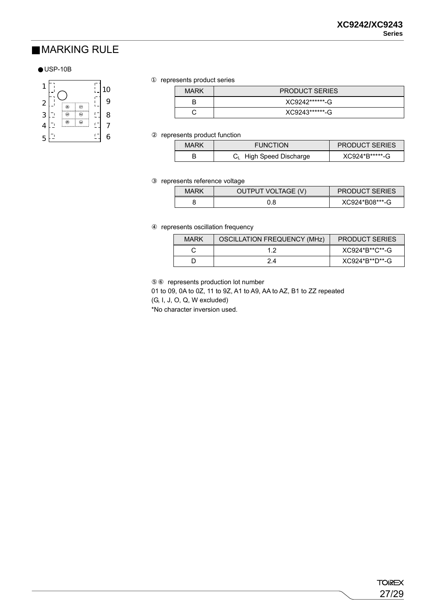## MARKING RULE

## USP-10B



represents product series

| <b>MARK</b> | <b>PRODUCT SERIES</b> |
|-------------|-----------------------|
|             | XC9242******-G        |
|             | XC9243*******-G       |

represents product function

| <b>MARK</b> | <b>FUNCTION</b>                     | <b>PRODUCT SERIES</b> |
|-------------|-------------------------------------|-----------------------|
|             | C <sub>L</sub> High Speed Discharge | XC924*B******-G       |

represents reference voltage

| MARK | OUTPUT VOLTAGE (V) | <b>PRODUCT SERIES</b> |
|------|--------------------|-----------------------|
|      | 9.C                | XC924*B08***-G        |

represents oscillation frequency

| <b>MARK</b> | <b>OSCILLATION FREQUENCY (MHz)</b> | <b>PRODUCT SERIES</b> |
|-------------|------------------------------------|-----------------------|
|             |                                    | XC924*B**C**-G        |
|             | 24                                 | XC924*B**D**-G        |

represents production lot number

01 to 09, 0A to 0Z, 11 to 9Z, A1 to A9, AA to AZ, B1 to ZZ repeated

(G, I, J, O, Q, W excluded)

\*No character inversion used.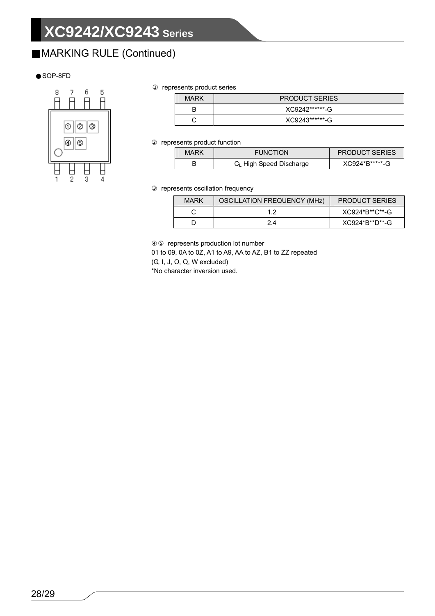# MARKING RULE (Continued)

### SOP-8FD



represents product series

| <b>MARK</b> | <b>PRODUCT SERIES</b> |  |
|-------------|-----------------------|--|
|             | XC9242******-G        |  |
|             | XC9243*******-G       |  |

represents product function

| MARK | <b>FUNCTION</b>              | <b>PRODUCT SERIES</b> |
|------|------------------------------|-----------------------|
|      | $C_{L}$ High Speed Discharge | XC924*B*****-G        |

represents oscillation frequency

| MARK | <b>OSCILLATION FREQUENCY (MHZ)</b> | <b>PRODUCT SERIES</b> |
|------|------------------------------------|-----------------------|
|      |                                    | XC924*B**C**-G        |
|      | 24                                 | XC924*B**D**-G        |

represents production lot number

01 to 09, 0A to 0Z, A1 to A9, AA to AZ, B1 to ZZ repeated

(G, I, J, O, Q, W excluded)

\*No character inversion used.